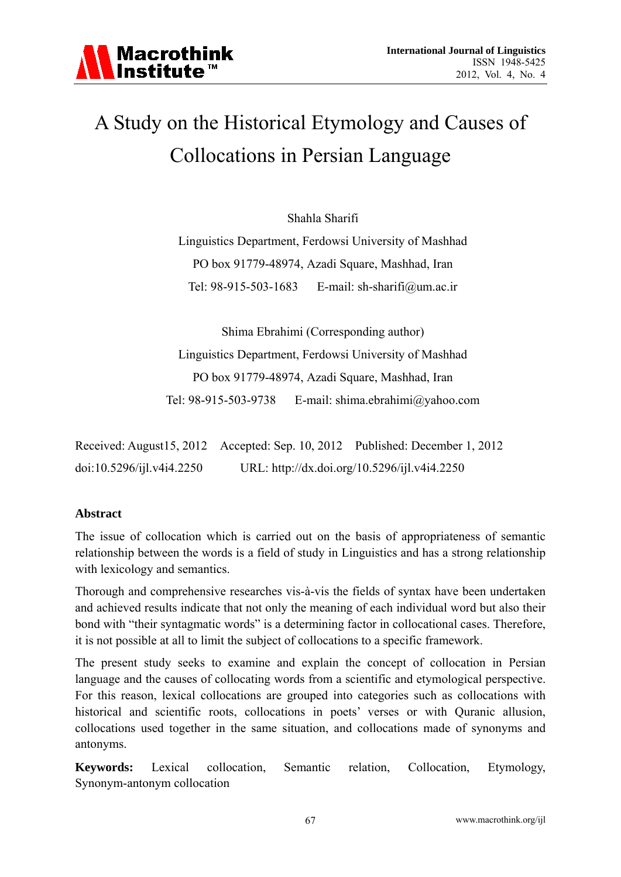# A Study on the Historical Etymology and Causes of Collocations in Persian Language

Shahla Sharifi

Linguistics Department, Ferdowsi University of Mashhad PO box 91779-48974, Azadi Square, Mashhad, Iran Tel: 98-915-503-1683 E-mail: sh-sharifi@um.ac.ir

Shima Ebrahimi (Corresponding author) Linguistics Department, Ferdowsi University of Mashhad PO box 91779-48974, Azadi Square, Mashhad, Iran Tel: 98-915-503-9738 E-mail: shima.ebrahimi@yahoo.com

|                           |                                              | Received: August15, 2012 Accepted: Sep. 10, 2012 Published: December 1, 2012 |
|---------------------------|----------------------------------------------|------------------------------------------------------------------------------|
| doi:10.5296/ijl.v4i4.2250 | URL: http://dx.doi.org/10.5296/ijl.v4i4.2250 |                                                                              |

# **Abstract**

The issue of collocation which is carried out on the basis of appropriateness of semantic relationship between the words is a field of study in Linguistics and has a strong relationship with lexicology and semantics.

Thorough and comprehensive researches vis-à-vis the fields of syntax have been undertaken and achieved results indicate that not only the meaning of each individual word but also their bond with "their syntagmatic words" is a determining factor in collocational cases. Therefore, it is not possible at all to limit the subject of collocations to a specific framework.

The present study seeks to examine and explain the concept of collocation in Persian language and the causes of collocating words from a scientific and etymological perspective. For this reason, lexical collocations are grouped into categories such as collocations with historical and scientific roots, collocations in poets' verses or with Quranic allusion, collocations used together in the same situation, and collocations made of synonyms and antonyms.

**Keywords:** Lexical collocation, Semantic relation, Collocation, Etymology, Synonym-antonym collocation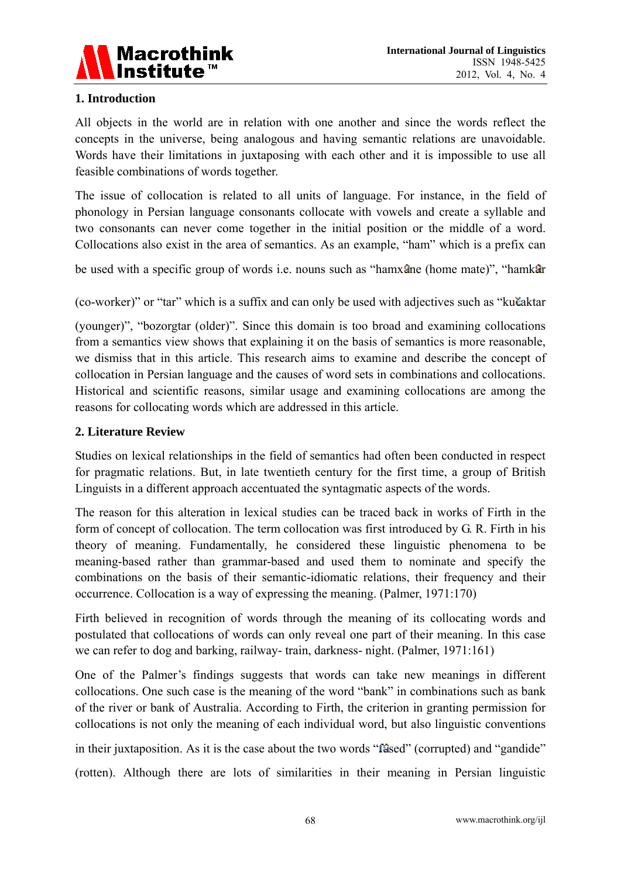

# **1. Introduction**

All objects in the world are in relation with one another and since the words reflect the concepts in the universe, being analogous and having semantic relations are unavoidable. Words have their limitations in juxtaposing with each other and it is impossible to use all feasible combinations of words together.

The issue of collocation is related to all units of language. For instance, in the field of phonology in Persian language consonants collocate with vowels and create a syllable and two consonants can never come together in the initial position or the middle of a word. Collocations also exist in the area of semantics. As an example, "ham" which is a prefix can

be used with a specific group of words i.e. nouns such as "hamx ane (home mate)", "hamk are

(co-worker)" or "tar" which is a suffix and can only be used with adjectives such as "kutaktar"

(younger)", "bozorgtar (older)". Since this domain is too broad and examining collocations from a semantics view shows that explaining it on the basis of semantics is more reasonable, we dismiss that in this article. This research aims to examine and describe the concept of collocation in Persian language and the causes of word sets in combinations and collocations. Historical and scientific reasons, similar usage and examining collocations are among the reasons for collocating words which are addressed in this article.

### **2. Literature Review**

Studies on lexical relationships in the field of semantics had often been conducted in respect for pragmatic relations. But, in late twentieth century for the first time, a group of British Linguists in a different approach accentuated the syntagmatic aspects of the words.

The reason for this alteration in lexical studies can be traced back in works of Firth in the form of concept of collocation. The term collocation was first introduced by G. R. Firth in his theory of meaning. Fundamentally, he considered these linguistic phenomena to be meaning-based rather than grammar-based and used them to nominate and specify the combinations on the basis of their semantic-idiomatic relations, their frequency and their occurrence. Collocation is a way of expressing the meaning. (Palmer, 1971:170)

Firth believed in recognition of words through the meaning of its collocating words and postulated that collocations of words can only reveal one part of their meaning. In this case we can refer to dog and barking, railway- train, darkness- night. (Palmer, 1971:161)

One of the Palmer's findings suggests that words can take new meanings in different collocations. One such case is the meaning of the word "bank" in combinations such as bank of the river or bank of Australia. According to Firth, the criterion in granting permission for collocations is not only the meaning of each individual word, but also linguistic conventions

in their juxtaposition. As it is the case about the two words "**fased**" (corrupted) and "gandide"

(rotten). Although there are lots of similarities in their meaning in Persian linguistic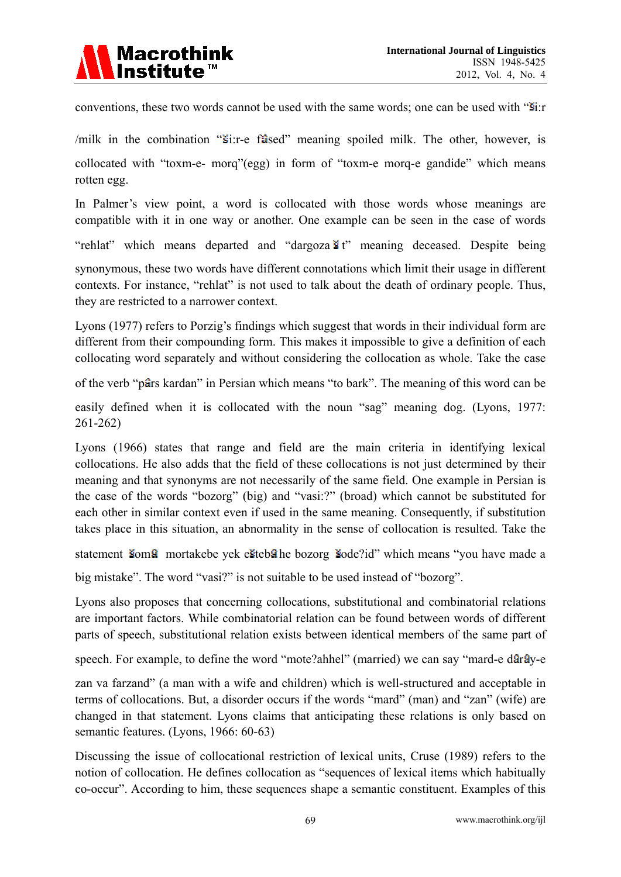

conventions, these two words cannot be used with the same words; one can be used with " $\ddot{\mathbf{s}}$ i:r

/milk in the combination "Si:r-e fased" meaning spoiled milk. The other, however, is collocated with "toxm-e- morq"(egg) in form of "toxm-e morq-e gandide" which means rotten egg.

In Palmer's view point, a word is collocated with those words whose meanings are compatible with it in one way or another. One example can be seen in the case of words

"rehlat" which means departed and "dargoza is t" meaning deceased. Despite being

synonymous, these two words have different connotations which limit their usage in different contexts. For instance, "rehlat" is not used to talk about the death of ordinary people. Thus, they are restricted to a narrower context.

Lyons (1977) refers to Porzig's findings which suggest that words in their individual form are different from their compounding form. This makes it impossible to give a definition of each collocating word separately and without considering the collocation as whole. Take the case

of the verb "pars kardan" in Persian which means "to bark". The meaning of this word can be

easily defined when it is collocated with the noun "sag" meaning dog. (Lyons, 1977: 261-262)

Lyons (1966) states that range and field are the main criteria in identifying lexical collocations. He also adds that the field of these collocations is not just determined by their meaning and that synonyms are not necessarily of the same field. One example in Persian is the case of the words "bozorg" (big) and "vasi:?" (broad) which cannot be substituted for each other in similar context even if used in the same meaning. Consequently, if substitution takes place in this situation, an abnormality in the sense of collocation is resulted. Take the

statement Som a mortakebe yek e steb a he bozorg Sode?id" which means "you have made a

big mistake". The word "vasi?" is not suitable to be used instead of "bozorg".

Lyons also proposes that concerning collocations, substitutional and combinatorial relations are important factors. While combinatorial relation can be found between words of different parts of speech, substitutional relation exists between identical members of the same part of

speech. For example, to define the word "mote?ahhel" (married) we can say "mard-e daray-e

zan va farzand" (a man with a wife and children) which is well-structured and acceptable in terms of collocations. But, a disorder occurs if the words "mard" (man) and "zan" (wife) are changed in that statement. Lyons claims that anticipating these relations is only based on semantic features. (Lyons, 1966: 60-63)

Discussing the issue of collocational restriction of lexical units, Cruse (1989) refers to the notion of collocation. He defines collocation as "sequences of lexical items which habitually co-occur". According to him, these sequences shape a semantic constituent. Examples of this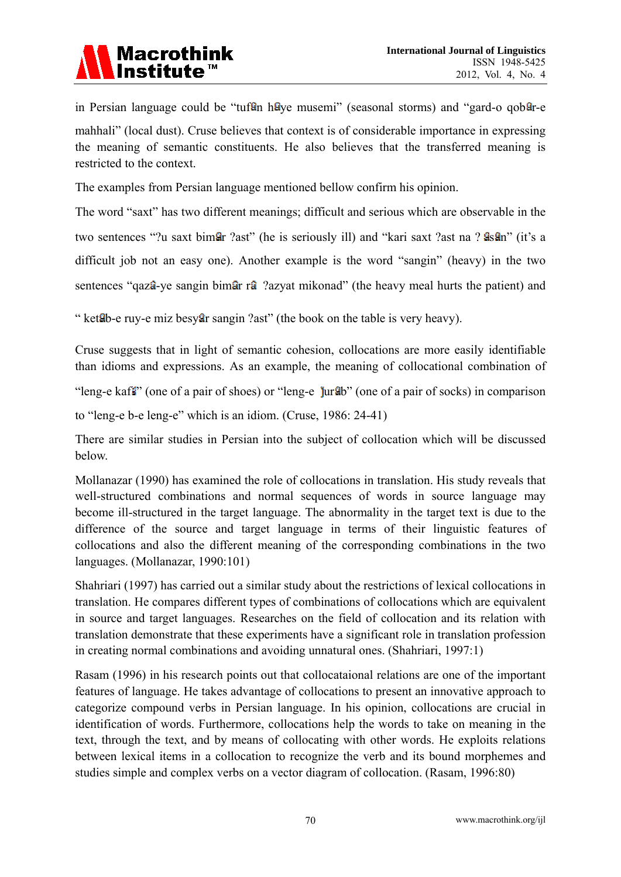

in Persian language could be "tufan haye musemi" (seasonal storms) and "gard-o qobar-e

mahhali" (local dust). Cruse believes that context is of considerable importance in expressing the meaning of semantic constituents. He also believes that the transferred meaning is restricted to the context.

The examples from Persian language mentioned bellow confirm his opinion.

The word "saxt" has two different meanings; difficult and serious which are observable in the two sentences "?u saxt bimar ?ast" (he is seriously ill) and "kari saxt ?ast na ? as an" (it's a difficult job not an easy one). Another example is the word "sangin" (heavy) in the two sentences "qaz $\hat{a}$ -ye sangin bim $\hat{a}$ r r $\hat{a}$  ?azyat mikonad" (the heavy meal hurts the patient) and

" ket $\hat{a}$ b-e ruy-e miz besy $\hat{a}$ r sangin ?ast" (the book on the table is very heavy).

Cruse suggests that in light of semantic cohesion, collocations are more easily identifiable than idioms and expressions. As an example, the meaning of collocational combination of

"leng-e kaf<sup>3</sup>" (one of a pair of shoes) or "leng-e "jurab" (one of a pair of socks) in comparison

to "leng-e b-e leng-e" which is an idiom. (Cruse, 1986: 24-41)

There are similar studies in Persian into the subject of collocation which will be discussed below.

Mollanazar (1990) has examined the role of collocations in translation. His study reveals that well-structured combinations and normal sequences of words in source language may become ill-structured in the target language. The abnormality in the target text is due to the difference of the source and target language in terms of their linguistic features of collocations and also the different meaning of the corresponding combinations in the two languages. (Mollanazar, 1990:101)

Shahriari (1997) has carried out a similar study about the restrictions of lexical collocations in translation. He compares different types of combinations of collocations which are equivalent in source and target languages. Researches on the field of collocation and its relation with translation demonstrate that these experiments have a significant role in translation profession in creating normal combinations and avoiding unnatural ones. (Shahriari, 1997:1)

Rasam (1996) in his research points out that collocataional relations are one of the important features of language. He takes advantage of collocations to present an innovative approach to categorize compound verbs in Persian language. In his opinion, collocations are crucial in identification of words. Furthermore, collocations help the words to take on meaning in the text, through the text, and by means of collocating with other words. He exploits relations between lexical items in a collocation to recognize the verb and its bound morphemes and studies simple and complex verbs on a vector diagram of collocation. (Rasam, 1996:80)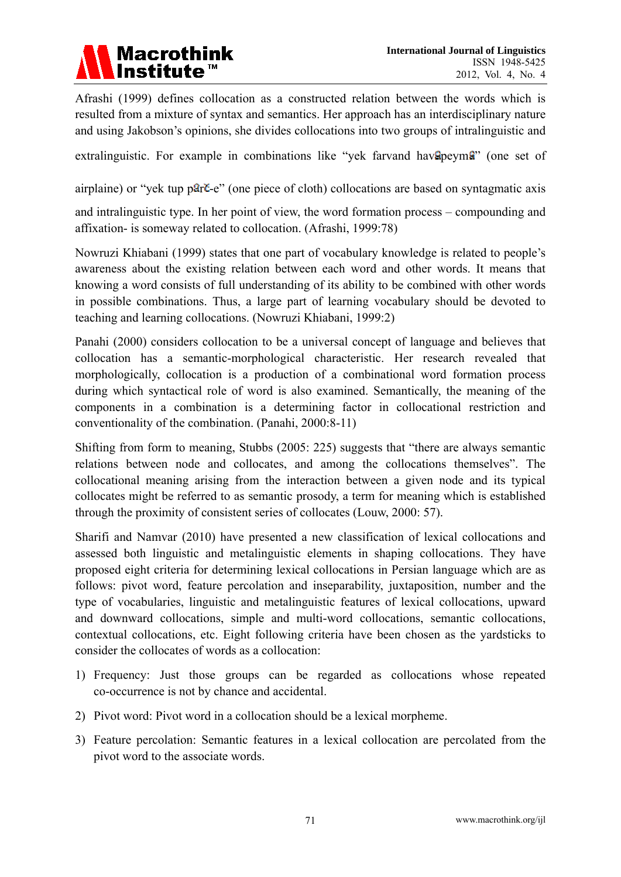

Afrashi (1999) defines collocation as a constructed relation between the words which is resulted from a mixture of syntax and semantics. Her approach has an interdisciplinary nature and using Jakobson's opinions, she divides collocations into two groups of intralinguistic and

extralinguistic. For example in combinations like "yek farvand havapeyma" (one set of

airplaine) or "yek tup p arc<sup>"</sup> (one piece of cloth) collocations are based on syntagmatic axis

and intralinguistic type. In her point of view, the word formation process – compounding and affixation- is someway related to collocation. (Afrashi, 1999:78)

Nowruzi Khiabani (1999) states that one part of vocabulary knowledge is related to people's awareness about the existing relation between each word and other words. It means that knowing a word consists of full understanding of its ability to be combined with other words in possible combinations. Thus, a large part of learning vocabulary should be devoted to teaching and learning collocations. (Nowruzi Khiabani, 1999:2)

Panahi (2000) considers collocation to be a universal concept of language and believes that collocation has a semantic-morphological characteristic. Her research revealed that morphologically, collocation is a production of a combinational word formation process during which syntactical role of word is also examined. Semantically, the meaning of the components in a combination is a determining factor in collocational restriction and conventionality of the combination. (Panahi, 2000:8-11)

Shifting from form to meaning, Stubbs (2005: 225) suggests that "there are always semantic relations between node and collocates, and among the collocations themselves". The collocational meaning arising from the interaction between a given node and its typical collocates might be referred to as semantic prosody, a term for meaning which is established through the proximity of consistent series of collocates (Louw, 2000: 57).

Sharifi and Namvar (2010) have presented a new classification of lexical collocations and assessed both linguistic and metalinguistic elements in shaping collocations. They have proposed eight criteria for determining lexical collocations in Persian language which are as follows: pivot word, feature percolation and inseparability, juxtaposition, number and the type of vocabularies, linguistic and metalinguistic features of lexical collocations, upward and downward collocations, simple and multi-word collocations, semantic collocations, contextual collocations, etc. Eight following criteria have been chosen as the yardsticks to consider the collocates of words as a collocation:

- 1) Frequency: Just those groups can be regarded as collocations whose repeated co-occurrence is not by chance and accidental.
- 2) Pivot word: Pivot word in a collocation should be a lexical morpheme.
- 3) Feature percolation: Semantic features in a lexical collocation are percolated from the pivot word to the associate words.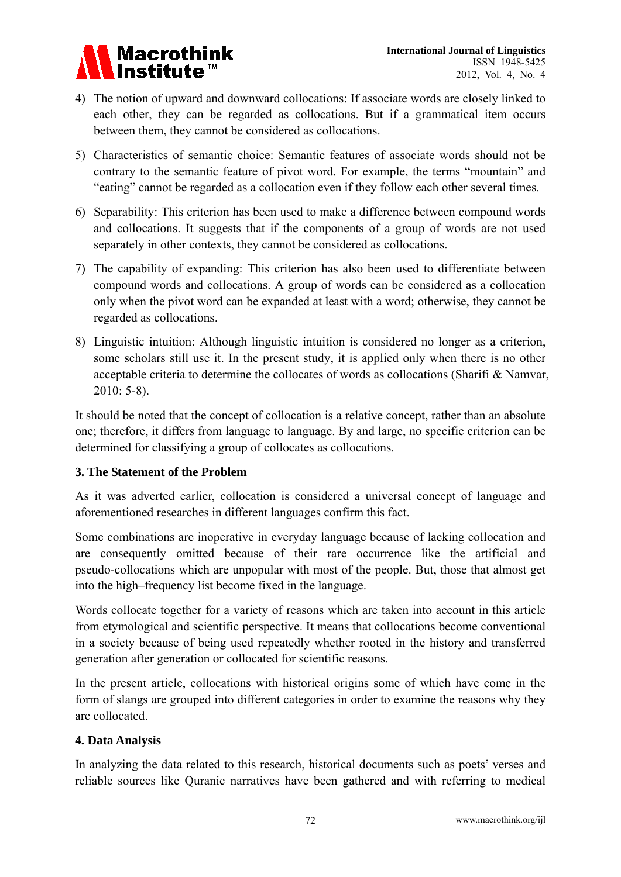

- 4) The notion of upward and downward collocations: If associate words are closely linked to each other, they can be regarded as collocations. But if a grammatical item occurs between them, they cannot be considered as collocations.
- 5) Characteristics of semantic choice: Semantic features of associate words should not be contrary to the semantic feature of pivot word. For example, the terms "mountain" and "eating" cannot be regarded as a collocation even if they follow each other several times.
- 6) Separability: This criterion has been used to make a difference between compound words and collocations. It suggests that if the components of a group of words are not used separately in other contexts, they cannot be considered as collocations.
- 7) The capability of expanding: This criterion has also been used to differentiate between compound words and collocations. A group of words can be considered as a collocation only when the pivot word can be expanded at least with a word; otherwise, they cannot be regarded as collocations.
- 8) Linguistic intuition: Although linguistic intuition is considered no longer as a criterion, some scholars still use it. In the present study, it is applied only when there is no other acceptable criteria to determine the collocates of words as collocations (Sharifi & Namvar, 2010: 5-8).

It should be noted that the concept of collocation is a relative concept, rather than an absolute one; therefore, it differs from language to language. By and large, no specific criterion can be determined for classifying a group of collocates as collocations.

# **3. The Statement of the Problem**

As it was adverted earlier, collocation is considered a universal concept of language and aforementioned researches in different languages confirm this fact.

Some combinations are inoperative in everyday language because of lacking collocation and are consequently omitted because of their rare occurrence like the artificial and pseudo-collocations which are unpopular with most of the people. But, those that almost get into the high–frequency list become fixed in the language.

Words collocate together for a variety of reasons which are taken into account in this article from etymological and scientific perspective. It means that collocations become conventional in a society because of being used repeatedly whether rooted in the history and transferred generation after generation or collocated for scientific reasons.

In the present article, collocations with historical origins some of which have come in the form of slangs are grouped into different categories in order to examine the reasons why they are collocated.

# **4. Data Analysis**

In analyzing the data related to this research, historical documents such as poets' verses and reliable sources like Quranic narratives have been gathered and with referring to medical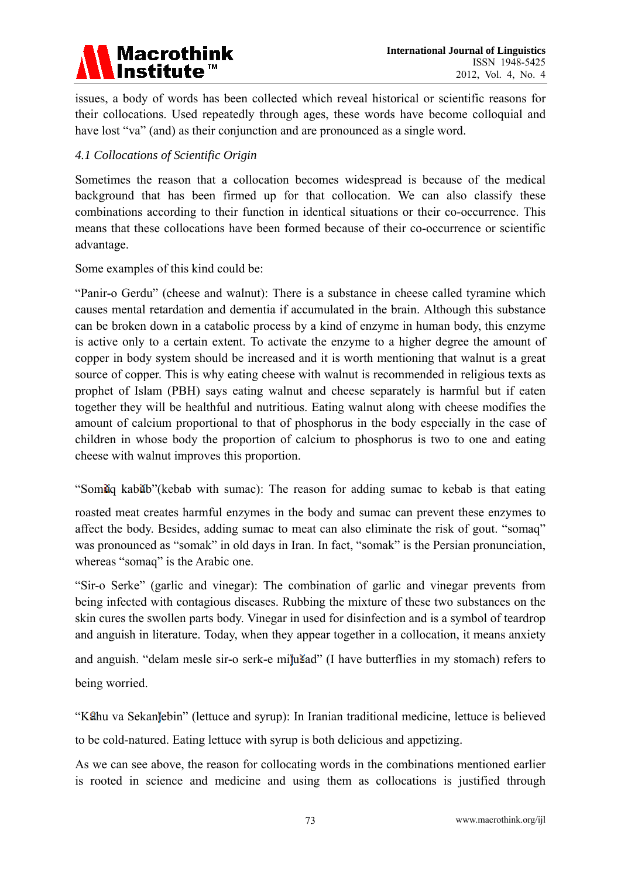

issues, a body of words has been collected which reveal historical or scientific reasons for their collocations. Used repeatedly through ages, these words have become colloquial and have lost "va" (and) as their conjunction and are pronounced as a single word.

## *4.1 Collocations of Scientific Origin*

Sometimes the reason that a collocation becomes widespread is because of the medical background that has been firmed up for that collocation. We can also classify these combinations according to their function in identical situations or their co-occurrence. This means that these collocations have been formed because of their co-occurrence or scientific advantage.

Some examples of this kind could be:

"Panir-o Gerdu" (cheese and walnut): There is a substance in cheese called tyramine which causes mental retardation and dementia if accumulated in the brain. Although this substance can be broken down in a catabolic process by a kind of enzyme in human body, this enzyme is active only to a certain extent. To activate the enzyme to a higher degree the amount of copper in body system should be increased and it is worth mentioning that walnut is a great source of copper. This is why eating cheese with walnut is recommended in religious texts as prophet of Islam (PBH) says eating walnut and cheese separately is harmful but if eaten together they will be healthful and nutritious. Eating walnut along with cheese modifies the amount of calcium proportional to that of phosphorus in the body especially in the case of children in whose body the proportion of calcium to phosphorus is two to one and eating cheese with walnut improves this proportion.

"Somig kabib" (kebab with sumac): The reason for adding sumac to kebab is that eating

roasted meat creates harmful enzymes in the body and sumac can prevent these enzymes to affect the body. Besides, adding sumac to meat can also eliminate the risk of gout. "somaq" was pronounced as "somak" in old days in Iran. In fact, "somak" is the Persian pronunciation, whereas "somaq" is the Arabic one.

"Sir-o Serke" (garlic and vinegar): The combination of garlic and vinegar prevents from being infected with contagious diseases. Rubbing the mixture of these two substances on the skin cures the swollen parts body. Vinegar in used for disinfection and is a symbol of teardrop and anguish in literature. Today, when they appear together in a collocation, it means anxiety

and anguish. "delam mesle sir-o serk-e miju ad" (I have butterflies in my stomach) refers to being worried.

"Kahu va Sekanjebin" (lettuce and syrup): In Iranian traditional medicine, lettuce is believed to be cold-natured. Eating lettuce with syrup is both delicious and appetizing.

As we can see above, the reason for collocating words in the combinations mentioned earlier is rooted in science and medicine and using them as collocations is justified through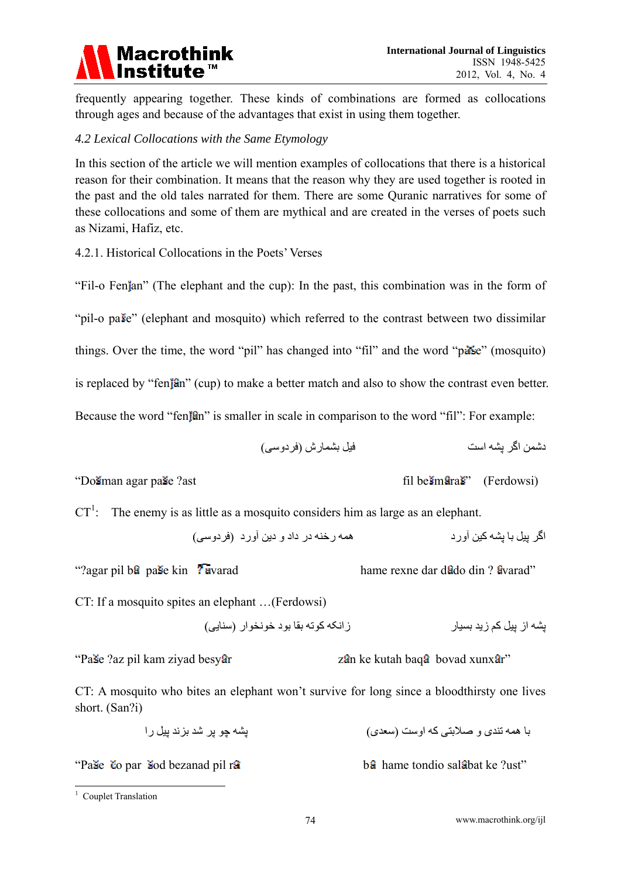# **Macrothink** Institute

frequently appearing together. These kinds of combinations are formed as collocations through ages and because of the advantages that exist in using them together.

# *4.2 Lexical Collocations with the Same Etymology*

In this section of the article we will mention examples of collocations that there is a historical reason for their combination. It means that the reason why they are used together is rooted in the past and the old tales narrated for them. There are some Quranic narratives for some of these collocations and some of them are mythical and are created in the verses of poets such as Nizami, Hafiz, etc.

4.2.1. Historical Collocations in the Poets' Verses

"Fil-o Fenjan" (The elephant and the cup): In the past, this combination was in the form of "pil-o paše" (elephant and mosquito) which referred to the contrast between two dissimilar

things. Over the time, the word "pil" has changed into "fil" and the word "passe" (mosquito)

is replaced by "fen" (cup) to make a better match and also to show the contrast even better.

Because the word "fen am" is smaller in scale in comparison to the word "fil": For example:

دشمن اگر پشه است فيل بشمارش (فردوسی)

"Do man agar pa e ?ast fil be m fil be m ra " (Ferdowsi)

 $CT<sup>1</sup>$ : The enemy is as little as a mosquito considers him as large as an elephant.

اگر پيل با پشه کين آورد همه رخنه در داد و دين آورد (فردوسی )

"?agar pil b $\hat{a}$  pa e kin  $\bar{a}$  avarad hame rexne dar d $\hat{a}$ do din ?  $\hat{a}$ varad"

CT: If a mosquito spites an elephant …(Ferdowsi)

پشه از پيل کم زيد بسيار زانکه کوته بقا بود خونخوار (سنايی)

"Paše ?az pil kam ziyad besy<sup>ar</sup> zan ke kutah baqa<sup>b</sup> bovad xunxar"

CT: A mosquito who bites an elephant won't survive for long since a bloodthirsty one lives short. (San?i)

با همه تندی و صلابتی که اوست (سعدی) پشه چو پر شد بزند پيل را

"Paše čo par šod bezanad pil ra bezanad bat hame tondio salabat ke ?ust"

<sup>-</sup> $1$  Couplet Translation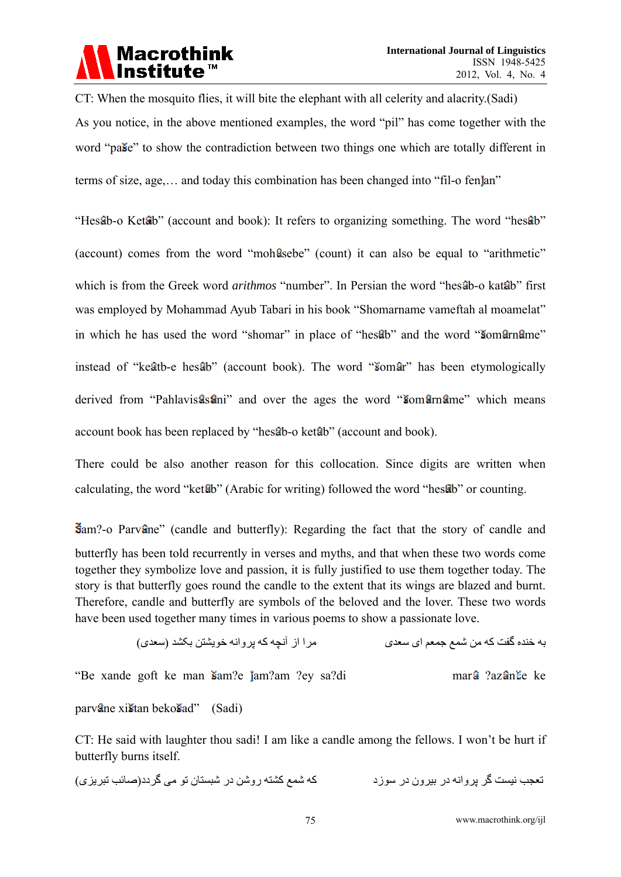# **Macrothink** Institute™

CT: When the mosquito flies, it will bite the elephant with all celerity and alacrity.(Sadi) As you notice, in the above mentioned examples, the word "pil" has come together with the word "paše" to show the contradiction between two things one which are totally different in terms of size, age,... and today this combination has been changed into "fil-o fen an"

"Hes ab-o Ket ab" (account and book): It refers to organizing something. The word "hes ab" (account) comes from the word "mohasebe" (count) it can also be equal to "arithmetic" which is from the Greek word *arithmos* "number". In Persian the word "hes ab-o kat ab" first was employed by Mohammad Ayub Tabari in his book "Shomarname vameftah al moamelat" in which he has used the word "shomar" in place of "hes ab" and the word "som armame" instead of "ke atb-e hes ab" (account book). The word "som ar" has been etymologically derived from "Pahlavis as ani" and over the ages the word " som anal me" which means account book has been replaced by "hes ab-o ket ab" (account and book).

There could be also another reason for this collocation. Since digits are written when calculating, the word "ket ab" (Arabic for writing) followed the word "hes ab" or counting.

**S**am?-o Parvane" (candle and butterfly): Regarding the fact that the story of candle and butterfly has been told recurrently in verses and myths, and that when these two words come together they symbolize love and passion, it is fully justified to use them together today. The story is that butterfly goes round the candle to the extent that its wings are blazed and burnt. Therefore, candle and butterfly are symbols of the beloved and the lover. These two words have been used together many times in various poems to show a passionate love.

به خنده گفت که من شمع جمعم ای سعدی مرا از آنچه که پروانه خويشتن بکشد (سعدی)

"Be xande goft ke man **s**am?e jam?am ?ey sa?di mar ?az an e ke

parvane xištan bekošad" (Sadi)

CT: He said with laughter thou sadi! I am like a candle among the fellows. I won't be hurt if butterfly burns itself.

تعجب نيست گر پروانه در بيرون در سوزد که شمع کشته روشن در شبستان تو می گردد(صائب تبريزی)

75 www.macrothink.org/ijl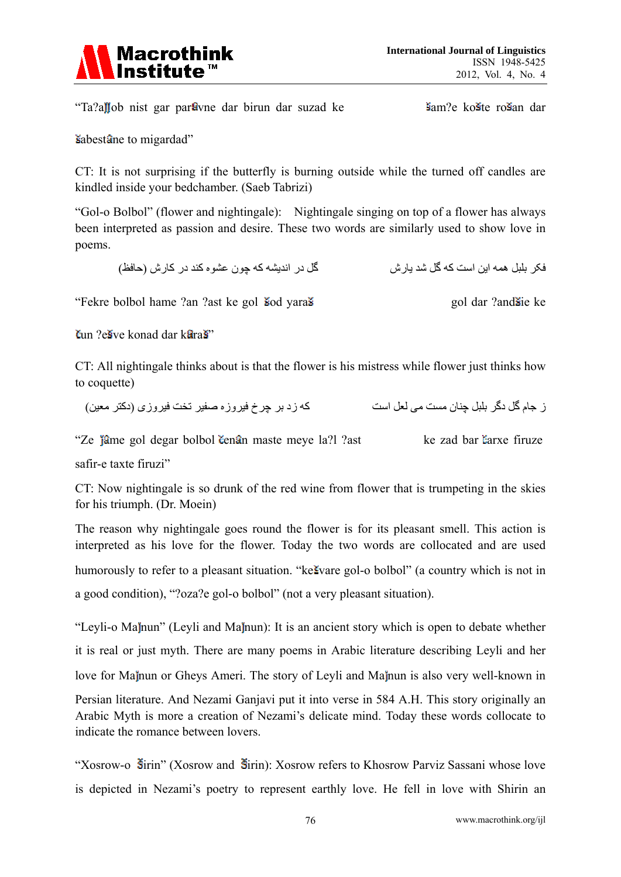

"Ta?ajjob nist gar par ve dar birun dar suzad ke sam?e ko te ro an dar

Sabestane to migardad"

CT: It is not surprising if the butterfly is burning outside while the turned off candles are kindled inside your bedchamber. (Saeb Tabrizi)

"Gol-o Bolbol" (flower and nightingale): Nightingale singing on top of a flower has always been interpreted as passion and desire. These two words are similarly used to show love in poems.

فکر بلبل همه اين است که گل شد يارش گل در انديشه که چون عشوه کند در کارش (حافظ)

"Fekre bolbol hame ?an ?ast ke gol **s**od yara gol the second gol dar ?and if the ke

čun ?e ve konad dar kara "

CT: All nightingale thinks about is that the flower is his mistress while flower just thinks how to coquette)

ز جام گل دگر بلبل چنان مست می لعل است که زد بر چرخ فيروزه صفير تخت فيروزی (دکتر معين)

"Ze jâme gol degar bolbol **čenân** maste meye la?l ?ast ke zad bar čarxe firuze

safir-e taxte firuzi"

CT: Now nightingale is so drunk of the red wine from flower that is trumpeting in the skies for his triumph. (Dr. Moein)

The reason why nightingale goes round the flower is for its pleasant smell. This action is interpreted as his love for the flower. Today the two words are collocated and are used

humorously to refer to a pleasant situation. "ke vare gol-o bolbol" (a country which is not in

a good condition), "?oza?e gol-o bolbol" (not a very pleasant situation).

"Leyli-o Majnun" (Leyli and Majnun): It is an ancient story which is open to debate whether it is real or just myth. There are many poems in Arabic literature describing Leyli and her love for Majnun or Gheys Ameri. The story of Leyli and Majnun is also very well-known in Persian literature. And Nezami Ganjavi put it into verse in 584 A.H. This story originally an Arabic Myth is more a creation of Nezami's delicate mind. Today these words collocate to indicate the romance between lovers.

"Xosrow-o  $\tilde{\textbf{S}}$ irin" (Xosrow and  $\tilde{\textbf{S}}$ irin): Xosrow refers to Khosrow Parviz Sassani whose love is depicted in Nezami's poetry to represent earthly love. He fell in love with Shirin an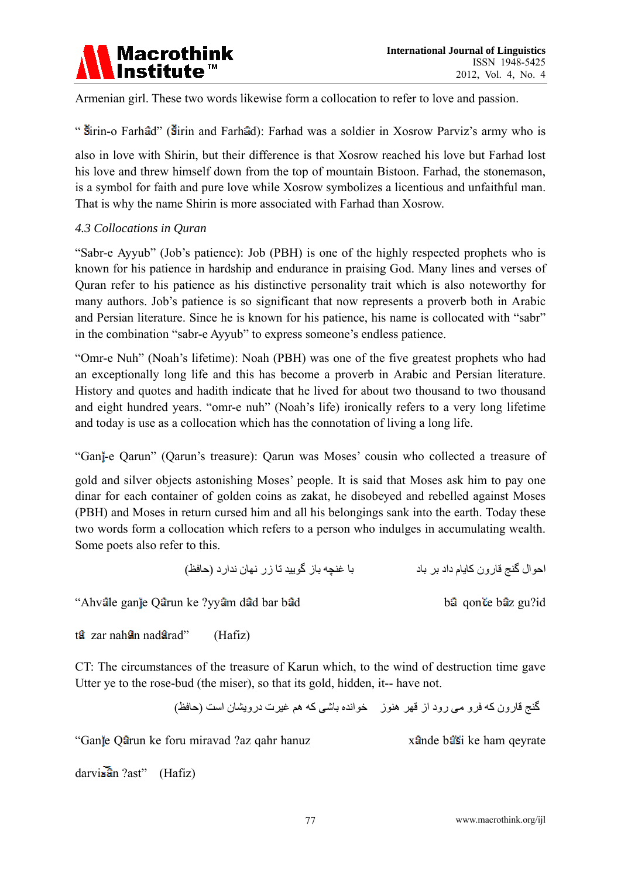

Armenian girl. These two words likewise form a collocation to refer to love and passion.

"  $\tilde{\mathbf{S}}$ irin-o Farhad" ( $\tilde{\mathbf{S}}$ irin and Farhad): Farhad was a soldier in Xosrow Parviz's army who is

also in love with Shirin, but their difference is that Xosrow reached his love but Farhad lost his love and threw himself down from the top of mountain Bistoon. Farhad, the stonemason, is a symbol for faith and pure love while Xosrow symbolizes a licentious and unfaithful man. That is why the name Shirin is more associated with Farhad than Xosrow.

# *4.3 Collocations in Quran*

"Sabr-e Ayyub" (Job's patience): Job (PBH) is one of the highly respected prophets who is known for his patience in hardship and endurance in praising God. Many lines and verses of Quran refer to his patience as his distinctive personality trait which is also noteworthy for many authors. Job's patience is so significant that now represents a proverb both in Arabic and Persian literature. Since he is known for his patience, his name is collocated with "sabr" in the combination "sabr-e Ayyub" to express someone's endless patience.

"Omr-e Nuh" (Noah's lifetime): Noah (PBH) was one of the five greatest prophets who had an exceptionally long life and this has become a proverb in Arabic and Persian literature. History and quotes and hadith indicate that he lived for about two thousand to two thousand and eight hundred years. "omr-e nuh" (Noah's life) ironically refers to a very long lifetime and today is use as a collocation which has the connotation of living a long life.

"Gan -e Qarun" (Qarun's treasure): Qarun was Moses' cousin who collected a treasure of

gold and silver objects astonishing Moses' people. It is said that Moses ask him to pay one dinar for each container of golden coins as zakat, he disobeyed and rebelled against Moses (PBH) and Moses in return cursed him and all his belongings sank into the earth. Today these two words form a collocation which refers to a person who indulges in accumulating wealth. Some poets also refer to this.

احوال گنج قارون کايام داد بر باد با غنچه باز گوييد تا زر نهان ندارد (حافظ)

"Ahv ile gan je Q arun ke ?yy am d ad bar b ad b qon e b a qon če b az gu?id

 $t \hat{a}$  zar nah $\hat{a}$ n nad $\hat{a}$ rad" (Hafiz)

CT: The circumstances of the treasure of Karun which, to the wind of destruction time gave Utter ye to the rose-bud (the miser), so that its gold, hidden, it-- have not.

گنج قارون که فرو می رود از قهر هنوز خوانده باشی که هم غيرت درويشان است (حافظ)

"Ganje Qarun ke foru miravad ?az qahr hanuz xânde basi ke ham qeyrate

 $daryi$  $\overrightarrow{a}$  ast" (Hafiz)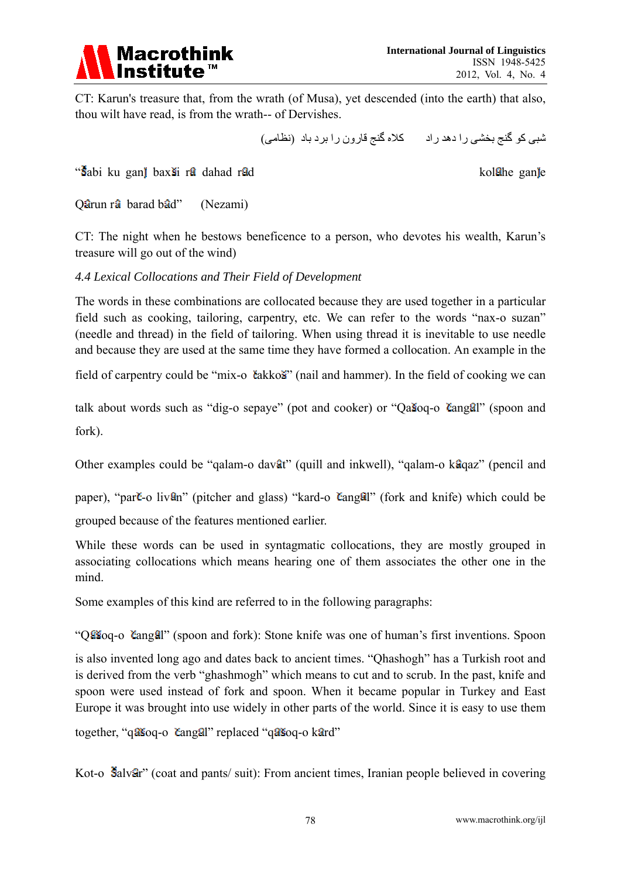

CT: Karun's treasure that, from the wrath (of Musa), yet descended (into the earth) that also, thou wilt have read, is from the wrath-- of Dervishes.

شبی کو گنج بخشی را دهد راد کلاه گنج قارون را برد باد (نظامی)

"Šabi ku ganj baxši ra dahad rad here i kolimba kola kolimba ganje

Oarun ra barad bad" (Nezami)

CT: The night when he bestows beneficence to a person, who devotes his wealth, Karun's treasure will go out of the wind)

*4.4 Lexical Collocations and Their Field of Development* 

The words in these combinations are collocated because they are used together in a particular field such as cooking, tailoring, carpentry, etc. We can refer to the words "nax-o suzan" (needle and thread) in the field of tailoring. When using thread it is inevitable to use needle and because they are used at the same time they have formed a collocation. An example in the

field of carpentry could be "mix-o čakko" (nail and hammer). In the field of cooking we can

talk about words such as "dig-o sepaye" (pot and cooker) or "Qa $\tilde{\mathbf{x}}$ oq-o  $\tilde{\mathbf{c}}$ ang $\tilde{\mathbf{a}}$ l" (spoon and fork).

Other examples could be "qalam-o davat" (quill and inkwell), "qalam-o kaqaz" (pencil and

paper), "parc-o livan" (pitcher and glass) "kard-o **c**angal" (fork and knife) which could be grouped because of the features mentioned earlier.

While these words can be used in syntagmatic collocations, they are mostly grouped in associating collocations which means hearing one of them associates the other one in the mind.

Some examples of this kind are referred to in the following paragraphs:

"Q Soq-o čang al" (spoon and fork): Stone knife was one of human's first inventions. Spoon

is also invented long ago and dates back to ancient times. "Qhashogh" has a Turkish root and is derived from the verb "ghashmogh" which means to cut and to scrub. In the past, knife and spoon were used instead of fork and spoon. When it became popular in Turkey and East Europe it was brought into use widely in other parts of the world. Since it is easy to use them

together, " $q$ asoq-o cangal" replaced " $q$ asoq-o kard"

Kot-o  $\tilde{\mathbf{S}}$ alv $\tilde{\mathbf{a}}$ r" (coat and pants/ suit): From ancient times, Iranian people believed in covering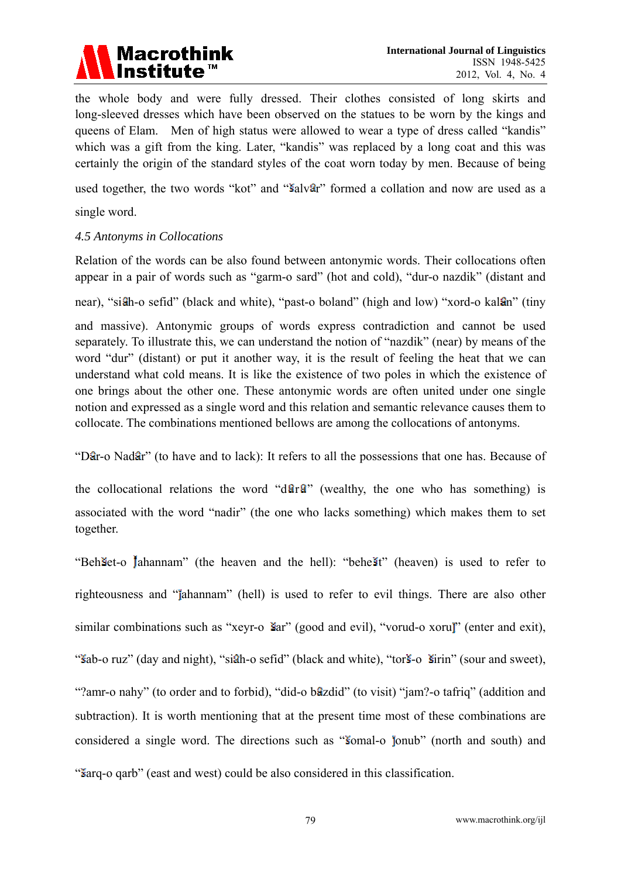

the whole body and were fully dressed. Their clothes consisted of long skirts and long-sleeved dresses which have been observed on the statues to be worn by the kings and queens of Elam. Men of high status were allowed to wear a type of dress called "kandis" which was a gift from the king. Later, "kandis" was replaced by a long coat and this was certainly the origin of the standard styles of the coat worn today by men. Because of being

used together, the two words "kot" and " salvar" formed a collation and now are used as a

single word.

### *4.5 Antonyms in Collocations*

Relation of the words can be also found between antonymic words. Their collocations often appear in a pair of words such as "garm-o sard" (hot and cold), "dur-o nazdik" (distant and

near), "si $\hat{a}$ h-o sefid" (black and white), "past-o boland" (high and low) "xord-o kal $\hat{a}$ n" (tiny

and massive). Antonymic groups of words express contradiction and cannot be used separately. To illustrate this, we can understand the notion of "nazdik" (near) by means of the word "dur" (distant) or put it another way, it is the result of feeling the heat that we can understand what cold means. It is like the existence of two poles in which the existence of one brings about the other one. These antonymic words are often united under one single notion and expressed as a single word and this relation and semantic relevance causes them to collocate. The combinations mentioned bellows are among the collocations of antonyms.

"Dar-o Nadar" (to have and to lack): It refers to all the possessions that one has. Because of

the collocational relations the word "dara" (wealthy, the one who has something) is associated with the word "nadir" (the one who lacks something) which makes them to set together.

"Beh set-o Jahannam" (the heaven and the hell): "behe it" (heaven) is used to refer to righteousness and "jahannam" (hell) is used to refer to evil things. There are also other similar combinations such as "xeyr-o  $\tilde{\mathbf{s}}$ ar" (good and evil), "vorud-o xoru" (enter and exit), "Sab-o ruz" (day and night), "si th-o sefid" (black and white), "tor s-o Sirin" (sour and sweet), "?amr-o nahy" (to order and to forbid), "did-o bazdid" (to visit) "jam?-o tafriq" (addition and subtraction). It is worth mentioning that at the present time most of these combinations are considered a single word. The directions such as "somal-o jonub" (north and south) and "Sarq-o qarb" (east and west) could be also considered in this classification.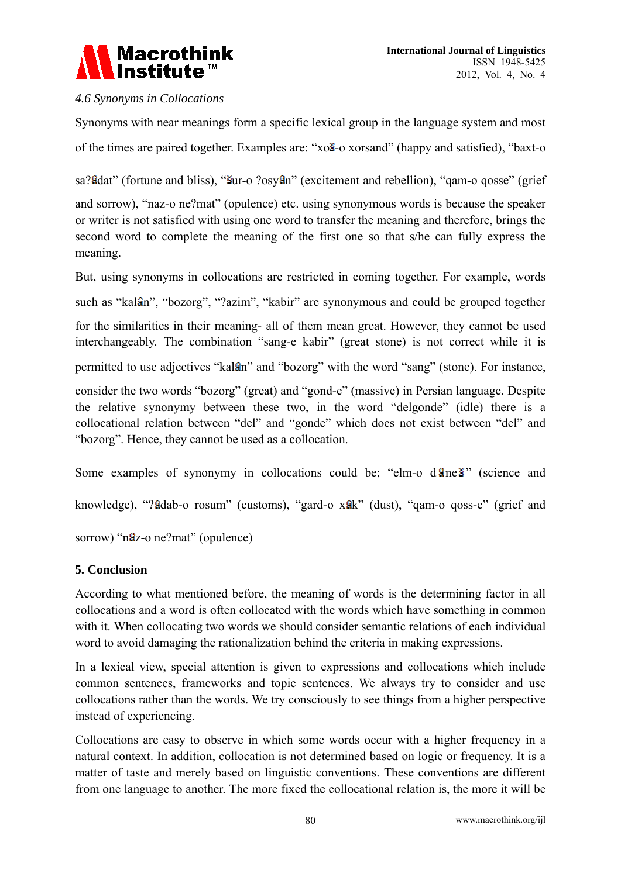

# *4.6 Synonyms in Collocations*

Synonyms with near meanings form a specific lexical group in the language system and most of the times are paired together. Examples are: "xo $\bar{s}$ -o xorsand" (happy and satisfied), "baxt-o

sa? adat" (fortune and bliss), "Sur-o ?osy an" (excitement and rebellion), "qam-o qosse" (grief

and sorrow), "naz-o ne?mat" (opulence) etc. using synonymous words is because the speaker or writer is not satisfied with using one word to transfer the meaning and therefore, brings the second word to complete the meaning of the first one so that s/he can fully express the meaning.

But, using synonyms in collocations are restricted in coming together. For example, words

such as "kal $\hat{a}$ ", "bozorg", "?azim", "kabir" are synonymous and could be grouped together

for the similarities in their meaning- all of them mean great. However, they cannot be used interchangeably. The combination "sang-e kabir" (great stone) is not correct while it is

permitted to use adjectives "kalân" and "bozorg" with the word "sang" (stone). For instance,

consider the two words "bozorg" (great) and "gond-e" (massive) in Persian language. Despite the relative synonymy between these two, in the word "delgonde" (idle) there is a collocational relation between "del" and "gonde" which does not exist between "del" and "bozorg". Hence, they cannot be used as a collocation.

Some examples of synonymy in collocations could be; "elm-o d ane "" (science and

knowledge), "?adab-o rosum" (customs), "gard-o x ak" (dust), "qam-o qoss-e" (grief and

sorrow) "naz-o ne?mat" (opulence)

#### **5. Conclusion**

According to what mentioned before, the meaning of words is the determining factor in all collocations and a word is often collocated with the words which have something in common with it. When collocating two words we should consider semantic relations of each individual word to avoid damaging the rationalization behind the criteria in making expressions.

In a lexical view, special attention is given to expressions and collocations which include common sentences, frameworks and topic sentences. We always try to consider and use collocations rather than the words. We try consciously to see things from a higher perspective instead of experiencing.

Collocations are easy to observe in which some words occur with a higher frequency in a natural context. In addition, collocation is not determined based on logic or frequency. It is a matter of taste and merely based on linguistic conventions. These conventions are different from one language to another. The more fixed the collocational relation is, the more it will be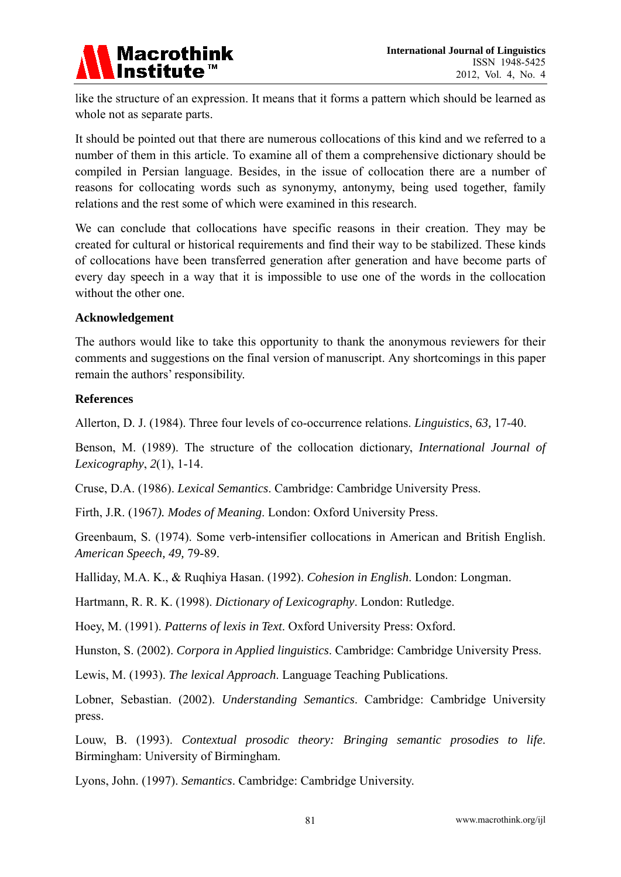

like the structure of an expression. It means that it forms a pattern which should be learned as whole not as separate parts.

It should be pointed out that there are numerous collocations of this kind and we referred to a number of them in this article. To examine all of them a comprehensive dictionary should be compiled in Persian language. Besides, in the issue of collocation there are a number of reasons for collocating words such as synonymy, antonymy, being used together, family relations and the rest some of which were examined in this research.

We can conclude that collocations have specific reasons in their creation. They may be created for cultural or historical requirements and find their way to be stabilized. These kinds of collocations have been transferred generation after generation and have become parts of every day speech in a way that it is impossible to use one of the words in the collocation without the other one.

### **Acknowledgement**

The authors would like to take this opportunity to thank the anonymous reviewers for their comments and suggestions on the final version of manuscript. Any shortcomings in this paper remain the authors' responsibility.

#### **References**

Allerton, D. J. (1984). Three four levels of co-occurrence relations. *Linguistics*, *63,* 17-40.

Benson, M. (1989). The structure of the collocation dictionary, *International Journal of Lexicography*, *2*(1), 1-14.

Cruse, D.A. (1986). *Lexical Semantics*. Cambridge: Cambridge University Press.

Firth, J.R. (1967*). Modes of Meaning*. London: Oxford University Press.

Greenbaum, S. (1974). Some verb*-*intensifier collocations in American and British English. *American Speech, 49,* 79-89.

Halliday, M.A. K., & Ruqhiya Hasan. (1992). *Cohesion in English*. London: Longman.

Hartmann, R. R. K. (1998). *Dictionary of Lexicography*. London: Rutledge.

Hoey, M. (1991). *Patterns of lexis in Text*. Oxford University Press: Oxford.

Hunston, S. (2002). *Corpora in Applied linguistics*. Cambridge: Cambridge University Press.

Lewis, M. (1993). *The lexical Approach*. Language Teaching Publications.

Lobner, Sebastian. (2002). *Understanding Semantics*. Cambridge: Cambridge University press.

Louw, B. (1993). *Contextual prosodic theory: Bringing semantic prosodies to life*. Birmingham: University of Birmingham.

Lyons, John. (1997). *Semantics*. Cambridge: Cambridge University.